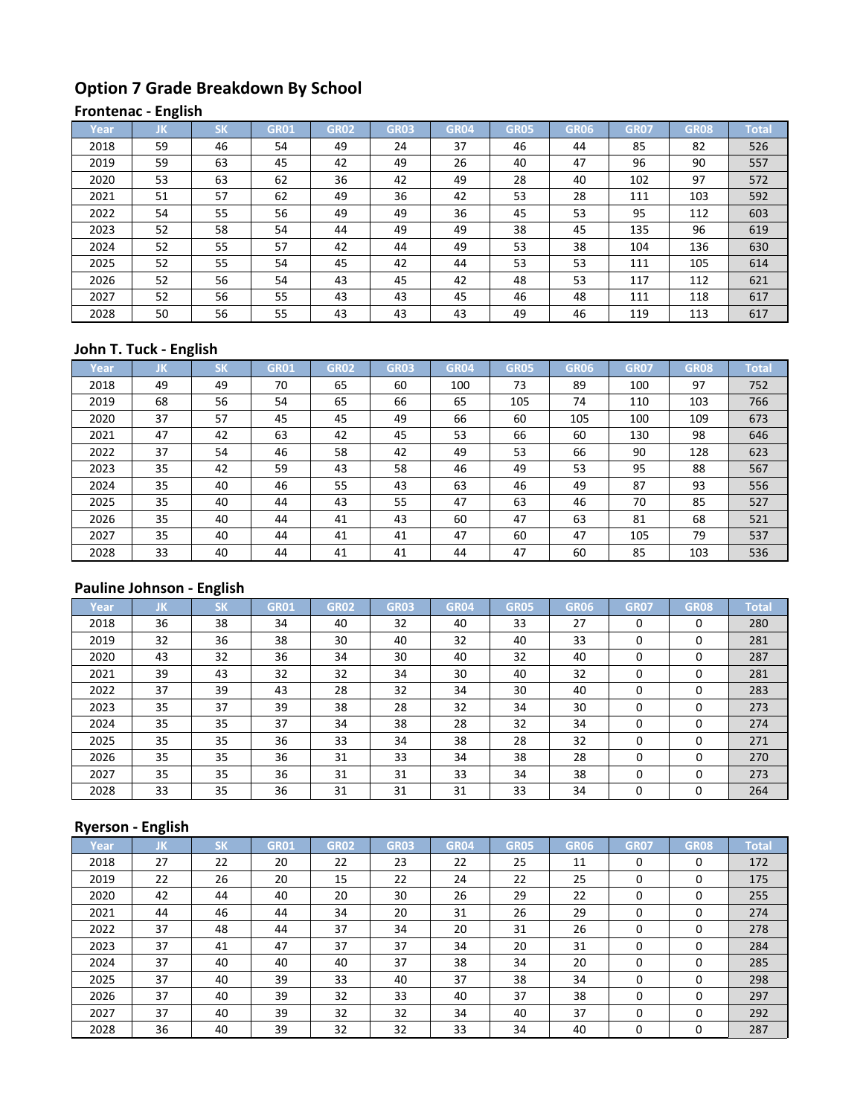# **Option 7 Grade Breakdown By School**

#### **Frontenac - English**

| Year, | ΠK. | <b>SK</b> | <b>GR01</b> | <b>GR02</b> | <b>GR03</b> | GR04 | <b>GR05</b> | GR06 | <b>GR07</b> | <b>GR08</b> | <b>Total</b> |
|-------|-----|-----------|-------------|-------------|-------------|------|-------------|------|-------------|-------------|--------------|
| 2018  | 59  | 46        | 54          | 49          | 24          | 37   | 46          | 44   | 85          | 82          | 526          |
| 2019  | 59  | 63        | 45          | 42          | 49          | 26   | 40          | 47   | 96          | 90          | 557          |
| 2020  | 53  | 63        | 62          | 36          | 42          | 49   | 28          | 40   | 102         | 97          | 572          |
| 2021  | 51  | 57        | 62          | 49          | 36          | 42   | 53          | 28   | 111         | 103         | 592          |
| 2022  | 54  | 55        | 56          | 49          | 49          | 36   | 45          | 53   | 95          | 112         | 603          |
| 2023  | 52  | 58        | 54          | 44          | 49          | 49   | 38          | 45   | 135         | 96          | 619          |
| 2024  | 52  | 55        | 57          | 42          | 44          | 49   | 53          | 38   | 104         | 136         | 630          |
| 2025  | 52  | 55        | 54          | 45          | 42          | 44   | 53          | 53   | 111         | 105         | 614          |
| 2026  | 52  | 56        | 54          | 43          | 45          | 42   | 48          | 53   | 117         | 112         | 621          |
| 2027  | 52  | 56        | 55          | 43          | 43          | 45   | 46          | 48   | 111         | 118         | 617          |
| 2028  | 50  | 56        | 55          | 43          | 43          | 43   | 49          | 46   | 119         | 113         | 617          |

#### **John T. Tuck - English**

| Year | JΚ | <b>SK</b> | <b>GR01</b> | <b>GR02</b> | <b>GR03</b> | <b>GR04</b> | <b>GR05</b> | GR06 | <b>GR07</b> | <b>GR08</b> | <b>Total</b> |
|------|----|-----------|-------------|-------------|-------------|-------------|-------------|------|-------------|-------------|--------------|
| 2018 | 49 | 49        | 70          | 65          | 60          | 100         | 73          | 89   | 100         | 97          | 752          |
| 2019 | 68 | 56        | 54          | 65          | 66          | 65          | 105         | 74   | 110         | 103         | 766          |
| 2020 | 37 | 57        | 45          | 45          | 49          | 66          | 60          | 105  | 100         | 109         | 673          |
| 2021 | 47 | 42        | 63          | 42          | 45          | 53          | 66          | 60   | 130         | 98          | 646          |
| 2022 | 37 | 54        | 46          | 58          | 42          | 49          | 53          | 66   | 90          | 128         | 623          |
| 2023 | 35 | 42        | 59          | 43          | 58          | 46          | 49          | 53   | 95          | 88          | 567          |
| 2024 | 35 | 40        | 46          | 55          | 43          | 63          | 46          | 49   | 87          | 93          | 556          |
| 2025 | 35 | 40        | 44          | 43          | 55          | 47          | 63          | 46   | 70          | 85          | 527          |
| 2026 | 35 | 40        | 44          | 41          | 43          | 60          | 47          | 63   | 81          | 68          | 521          |
| 2027 | 35 | 40        | 44          | 41          | 41          | 47          | 60          | 47   | 105         | 79          | 537          |
| 2028 | 33 | 40        | 44          | 41          | 41          | 44          | 47          | 60   | 85          | 103         | 536          |

## **Pauline Johnson - English**

| Year | JK | <b>SK</b> | <b>GR01</b> | GR02 | <b>GR03</b> | <b>GR04</b> | <b>GR05</b> | GR06 | <b>GR07</b> | <b>GR08</b> | <b>Total</b> |
|------|----|-----------|-------------|------|-------------|-------------|-------------|------|-------------|-------------|--------------|
| 2018 | 36 | 38        | 34          | 40   | 32          | 40          | 33          | 27   | 0           | $\Omega$    | 280          |
| 2019 | 32 | 36        | 38          | 30   | 40          | 32          | 40          | 33   | 0           | 0           | 281          |
| 2020 | 43 | 32        | 36          | 34   | 30          | 40          | 32          | 40   | 0           | $\Omega$    | 287          |
| 2021 | 39 | 43        | 32          | 32   | 34          | 30          | 40          | 32   | $\Omega$    | $\Omega$    | 281          |
| 2022 | 37 | 39        | 43          | 28   | 32          | 34          | 30          | 40   | $\Omega$    | $\Omega$    | 283          |
| 2023 | 35 | 37        | 39          | 38   | 28          | 32          | 34          | 30   | $\Omega$    | 0           | 273          |
| 2024 | 35 | 35        | 37          | 34   | 38          | 28          | 32          | 34   | $\Omega$    | 0           | 274          |
| 2025 | 35 | 35        | 36          | 33   | 34          | 38          | 28          | 32   | $\Omega$    | $\Omega$    | 271          |
| 2026 | 35 | 35        | 36          | 31   | 33          | 34          | 38          | 28   | 0           | 0           | 270          |
| 2027 | 35 | 35        | 36          | 31   | 31          | 33          | 34          | 38   | $\Omega$    | $\Omega$    | 273          |
| 2028 | 33 | 35        | 36          | 31   | 31          | 31          | 33          | 34   | 0           | $\Omega$    | 264          |

## **Ryerson - English**

| Year | IJΚ | <b>SK</b> | <b>GR01</b> | <b>GR02</b> | <b>GR03</b> | <b>GR04</b> | <b>GR05</b> | GR06 | <b>GR07</b> | <b>GR08</b> | <b>Total</b> |
|------|-----|-----------|-------------|-------------|-------------|-------------|-------------|------|-------------|-------------|--------------|
| 2018 | 27  | 22        | 20          | 22          | 23          | 22          | 25          | 11   | 0           | 0           | 172          |
| 2019 | 22  | 26        | 20          | 15          | 22          | 24          | 22          | 25   | 0           | $\Omega$    | 175          |
| 2020 | 42  | 44        | 40          | 20          | 30          | 26          | 29          | 22   | 0           | $\Omega$    | 255          |
| 2021 | 44  | 46        | 44          | 34          | 20          | 31          | 26          | 29   | 0           | $\Omega$    | 274          |
| 2022 | 37  | 48        | 44          | 37          | 34          | 20          | 31          | 26   | 0           | $\Omega$    | 278          |
| 2023 | 37  | 41        | 47          | 37          | 37          | 34          | 20          | 31   | 0           | $\Omega$    | 284          |
| 2024 | 37  | 40        | 40          | 40          | 37          | 38          | 34          | 20   | 0           | $\Omega$    | 285          |
| 2025 | 37  | 40        | 39          | 33          | 40          | 37          | 38          | 34   | 0           | $\Omega$    | 298          |
| 2026 | 37  | 40        | 39          | 32          | 33          | 40          | 37          | 38   | 0           | $\Omega$    | 297          |
| 2027 | 37  | 40        | 39          | 32          | 32          | 34          | 40          | 37   | $\Omega$    | $\Omega$    | 292          |
| 2028 | 36  | 40        | 39          | 32          | 32          | 33          | 34          | 40   | 0           | 0           | 287          |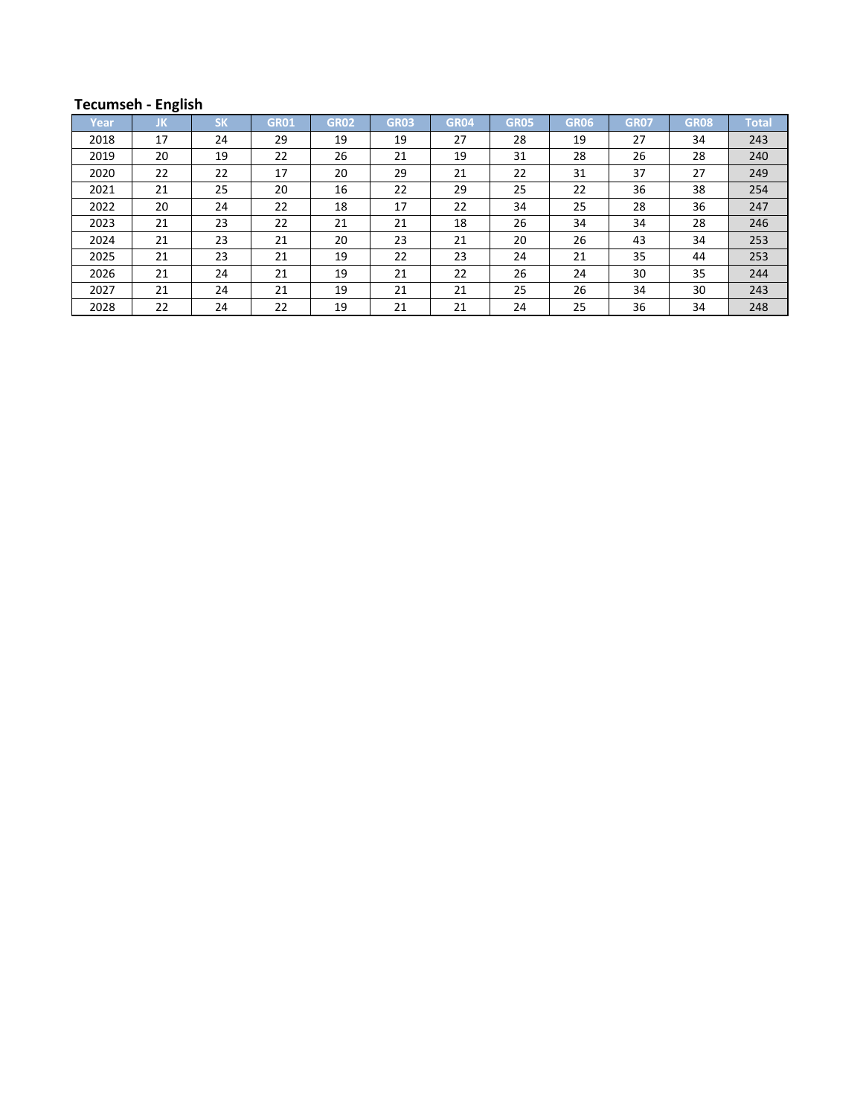## **Tecumseh - English**

| Year | JΚ. | <b>SK</b> | GR01 | <b>GR02</b> | <b>GR03</b> | GR04 | <b>GR05</b> | GR06 | <b>GR07</b> | <b>GR08</b> | Total |
|------|-----|-----------|------|-------------|-------------|------|-------------|------|-------------|-------------|-------|
| 2018 | 17  | 24        | 29   | 19          | 19          | 27   | 28          | 19   | 27          | 34          | 243   |
| 2019 | 20  | 19        | 22   | 26          | 21          | 19   | 31          | 28   | 26          | 28          | 240   |
| 2020 | 22  | 22        | 17   | 20          | 29          | 21   | 22          | 31   | 37          | 27          | 249   |
| 2021 | 21  | 25        | 20   | 16          | 22          | 29   | 25          | 22   | 36          | 38          | 254   |
| 2022 | 20  | 24        | 22   | 18          | 17          | 22   | 34          | 25   | 28          | 36          | 247   |
| 2023 | 21  | 23        | 22   | 21          | 21          | 18   | 26          | 34   | 34          | 28          | 246   |
| 2024 | 21  | 23        | 21   | 20          | 23          | 21   | 20          | 26   | 43          | 34          | 253   |
| 2025 | 21  | 23        | 21   | 19          | 22          | 23   | 24          | 21   | 35          | 44          | 253   |
| 2026 | 21  | 24        | 21   | 19          | 21          | 22   | 26          | 24   | 30          | 35          | 244   |
| 2027 | 21  | 24        | 21   | 19          | 21          | 21   | 25          | 26   | 34          | 30          | 243   |
| 2028 | 22  | 24        | 22   | 19          | 21          | 21   | 24          | 25   | 36          | 34          | 248   |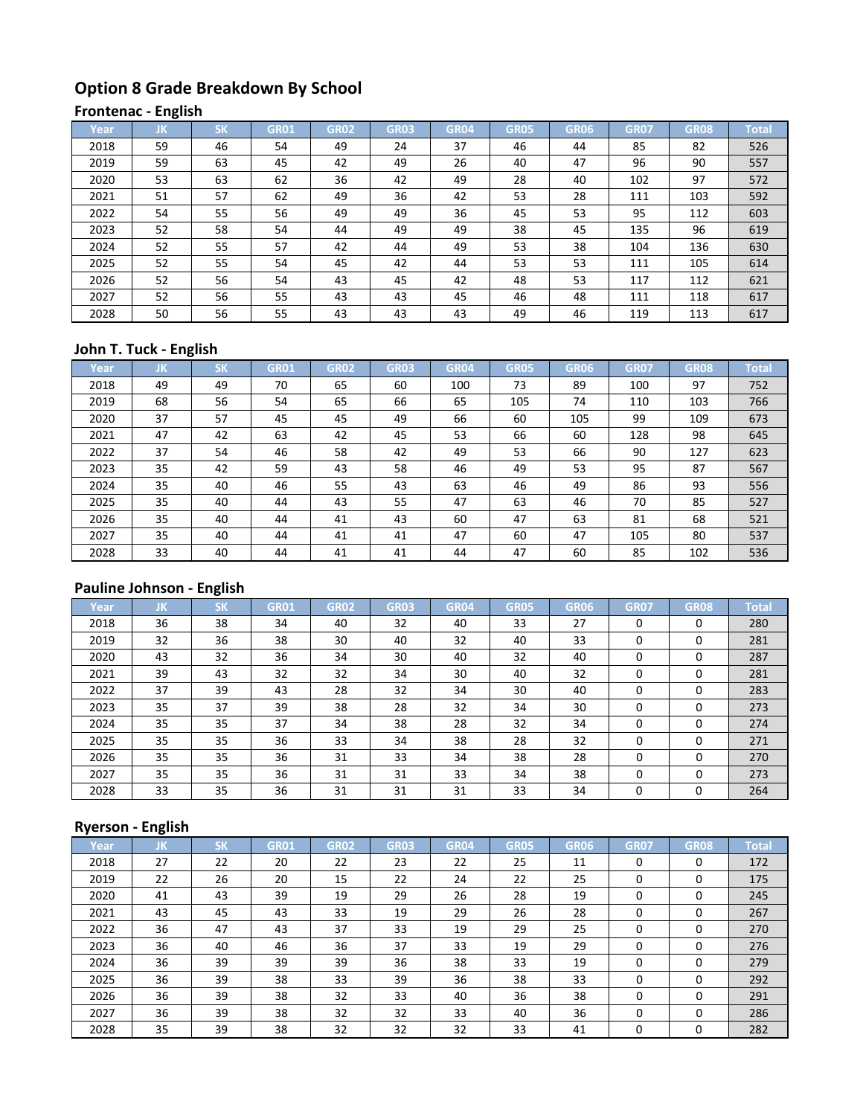# **Option 8 Grade Breakdown By School**

## **Frontenac - English**

| Year, | ΠK. | <b>SK</b> | <b>GR01</b> | <b>GR02</b> | <b>GR03</b> | GR04 | <b>GR05</b> | GR06 | <b>GR07</b> | <b>GR08</b> | <b>Total</b> |
|-------|-----|-----------|-------------|-------------|-------------|------|-------------|------|-------------|-------------|--------------|
| 2018  | 59  | 46        | 54          | 49          | 24          | 37   | 46          | 44   | 85          | 82          | 526          |
| 2019  | 59  | 63        | 45          | 42          | 49          | 26   | 40          | 47   | 96          | 90          | 557          |
| 2020  | 53  | 63        | 62          | 36          | 42          | 49   | 28          | 40   | 102         | 97          | 572          |
| 2021  | 51  | 57        | 62          | 49          | 36          | 42   | 53          | 28   | 111         | 103         | 592          |
| 2022  | 54  | 55        | 56          | 49          | 49          | 36   | 45          | 53   | 95          | 112         | 603          |
| 2023  | 52  | 58        | 54          | 44          | 49          | 49   | 38          | 45   | 135         | 96          | 619          |
| 2024  | 52  | 55        | 57          | 42          | 44          | 49   | 53          | 38   | 104         | 136         | 630          |
| 2025  | 52  | 55        | 54          | 45          | 42          | 44   | 53          | 53   | 111         | 105         | 614          |
| 2026  | 52  | 56        | 54          | 43          | 45          | 42   | 48          | 53   | 117         | 112         | 621          |
| 2027  | 52  | 56        | 55          | 43          | 43          | 45   | 46          | 48   | 111         | 118         | 617          |
| 2028  | 50  | 56        | 55          | 43          | 43          | 43   | 49          | 46   | 119         | 113         | 617          |

### **John T. Tuck - English**

| Year. | JΚ | <b>SK</b> | <b>GR01</b> | <b>GR02</b> | <b>GR03</b> | <b>GR04</b> | <b>GR05</b> | GR06 | <b>GR07</b> | <b>GR08</b> | <b>Total</b> |
|-------|----|-----------|-------------|-------------|-------------|-------------|-------------|------|-------------|-------------|--------------|
| 2018  | 49 | 49        | 70          | 65          | 60          | 100         | 73          | 89   | 100         | 97          | 752          |
| 2019  | 68 | 56        | 54          | 65          | 66          | 65          | 105         | 74   | 110         | 103         | 766          |
| 2020  | 37 | 57        | 45          | 45          | 49          | 66          | 60          | 105  | 99          | 109         | 673          |
| 2021  | 47 | 42        | 63          | 42          | 45          | 53          | 66          | 60   | 128         | 98          | 645          |
| 2022  | 37 | 54        | 46          | 58          | 42          | 49          | 53          | 66   | 90          | 127         | 623          |
| 2023  | 35 | 42        | 59          | 43          | 58          | 46          | 49          | 53   | 95          | 87          | 567          |
| 2024  | 35 | 40        | 46          | 55          | 43          | 63          | 46          | 49   | 86          | 93          | 556          |
| 2025  | 35 | 40        | 44          | 43          | 55          | 47          | 63          | 46   | 70          | 85          | 527          |
| 2026  | 35 | 40        | 44          | 41          | 43          | 60          | 47          | 63   | 81          | 68          | 521          |
| 2027  | 35 | 40        | 44          | 41          | 41          | 47          | 60          | 47   | 105         | 80          | 537          |
| 2028  | 33 | 40        | 44          | 41          | 41          | 44          | 47          | 60   | 85          | 102         | 536          |

## **Pauline Johnson - English**

| Year | JK | <b>SK</b> | <b>GR01</b> | GR02 | <b>GR03</b> | <b>GR04</b> | <b>GR05</b> | GR06 | <b>GR07</b> | <b>GR08</b> | <b>Total</b> |
|------|----|-----------|-------------|------|-------------|-------------|-------------|------|-------------|-------------|--------------|
| 2018 | 36 | 38        | 34          | 40   | 32          | 40          | 33          | 27   | 0           | 0           | 280          |
| 2019 | 32 | 36        | 38          | 30   | 40          | 32          | 40          | 33   | 0           | 0           | 281          |
| 2020 | 43 | 32        | 36          | 34   | 30          | 40          | 32          | 40   | 0           | 0           | 287          |
| 2021 | 39 | 43        | 32          | 32   | 34          | 30          | 40          | 32   | 0           | 0           | 281          |
| 2022 | 37 | 39        | 43          | 28   | 32          | 34          | 30          | 40   | 0           | $\Omega$    | 283          |
| 2023 | 35 | 37        | 39          | 38   | 28          | 32          | 34          | 30   | 0           | $\Omega$    | 273          |
| 2024 | 35 | 35        | 37          | 34   | 38          | 28          | 32          | 34   | 0           | $\Omega$    | 274          |
| 2025 | 35 | 35        | 36          | 33   | 34          | 38          | 28          | 32   | 0           | $\Omega$    | 271          |
| 2026 | 35 | 35        | 36          | 31   | 33          | 34          | 38          | 28   | 0           | 0           | 270          |
| 2027 | 35 | 35        | 36          | 31   | 31          | 33          | 34          | 38   | 0           | $\Omega$    | 273          |
| 2028 | 33 | 35        | 36          | 31   | 31          | 31          | 33          | 34   | 0           | $\Omega$    | 264          |

## **Ryerson - English**

| Year | IJΚ | <b>SK</b> | <b>GR01</b> | <b>GR02</b> | <b>GR03</b> | <b>GR04</b> | <b>GR05</b> | GR06 | <b>GR07</b> | <b>GR08</b> | <b>Total</b> |
|------|-----|-----------|-------------|-------------|-------------|-------------|-------------|------|-------------|-------------|--------------|
| 2018 | 27  | 22        | 20          | 22          | 23          | 22          | 25          | 11   | 0           | 0           | 172          |
| 2019 | 22  | 26        | 20          | 15          | 22          | 24          | 22          | 25   | 0           | $\Omega$    | 175          |
| 2020 | 41  | 43        | 39          | 19          | 29          | 26          | 28          | 19   | 0           | $\Omega$    | 245          |
| 2021 | 43  | 45        | 43          | 33          | 19          | 29          | 26          | 28   | 0           | $\Omega$    | 267          |
| 2022 | 36  | 47        | 43          | 37          | 33          | 19          | 29          | 25   | 0           | $\Omega$    | 270          |
| 2023 | 36  | 40        | 46          | 36          | 37          | 33          | 19          | 29   | 0           | $\Omega$    | 276          |
| 2024 | 36  | 39        | 39          | 39          | 36          | 38          | 33          | 19   | 0           | $\Omega$    | 279          |
| 2025 | 36  | 39        | 38          | 33          | 39          | 36          | 38          | 33   | 0           | $\Omega$    | 292          |
| 2026 | 36  | 39        | 38          | 32          | 33          | 40          | 36          | 38   | 0           | $\Omega$    | 291          |
| 2027 | 36  | 39        | 38          | 32          | 32          | 33          | 40          | 36   | 0           | $\Omega$    | 286          |
| 2028 | 35  | 39        | 38          | 32          | 32          | 32          | 33          | 41   | 0           | 0           | 282          |